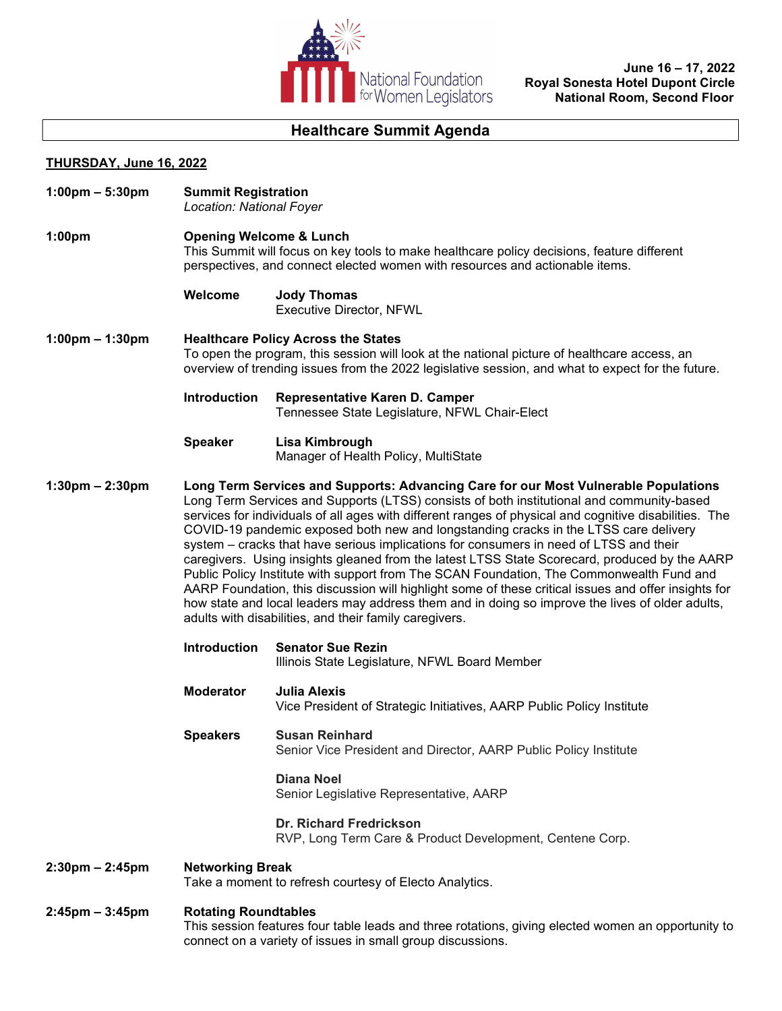

 June 16 – 17, 2022 Royal Sonesta Hotel Dupont Circle National Room, Second Floor

# Healthcare Summit Agenda

## THURSDAY, June 16, 2022

| $1:00 \text{pm} - 5:30 \text{pm}$ | <b>Summit Registration</b><br>Location: National Foyer                                                                                                                                                                                          |                                                                                                                                                                                                                                                                                                                                                                                                                                                                                                                                                                                                                                                                                                                                                                                                                                                                                                                                                |  |
|-----------------------------------|-------------------------------------------------------------------------------------------------------------------------------------------------------------------------------------------------------------------------------------------------|------------------------------------------------------------------------------------------------------------------------------------------------------------------------------------------------------------------------------------------------------------------------------------------------------------------------------------------------------------------------------------------------------------------------------------------------------------------------------------------------------------------------------------------------------------------------------------------------------------------------------------------------------------------------------------------------------------------------------------------------------------------------------------------------------------------------------------------------------------------------------------------------------------------------------------------------|--|
| 1:00 <sub>pm</sub>                | <b>Opening Welcome &amp; Lunch</b><br>This Summit will focus on key tools to make healthcare policy decisions, feature different<br>perspectives, and connect elected women with resources and actionable items.                                |                                                                                                                                                                                                                                                                                                                                                                                                                                                                                                                                                                                                                                                                                                                                                                                                                                                                                                                                                |  |
|                                   | Welcome                                                                                                                                                                                                                                         | <b>Jody Thomas</b><br><b>Executive Director, NFWL</b>                                                                                                                                                                                                                                                                                                                                                                                                                                                                                                                                                                                                                                                                                                                                                                                                                                                                                          |  |
| $1:00 \text{pm} - 1:30 \text{pm}$ | <b>Healthcare Policy Across the States</b><br>To open the program, this session will look at the national picture of healthcare access, an<br>overview of trending issues from the 2022 legislative session, and what to expect for the future. |                                                                                                                                                                                                                                                                                                                                                                                                                                                                                                                                                                                                                                                                                                                                                                                                                                                                                                                                                |  |
|                                   | <b>Introduction</b>                                                                                                                                                                                                                             | Representative Karen D. Camper<br>Tennessee State Legislature, NFWL Chair-Elect                                                                                                                                                                                                                                                                                                                                                                                                                                                                                                                                                                                                                                                                                                                                                                                                                                                                |  |
|                                   | <b>Speaker</b>                                                                                                                                                                                                                                  | Lisa Kimbrough<br>Manager of Health Policy, MultiState                                                                                                                                                                                                                                                                                                                                                                                                                                                                                                                                                                                                                                                                                                                                                                                                                                                                                         |  |
| $1:30 \text{pm} - 2:30 \text{pm}$ |                                                                                                                                                                                                                                                 | Long Term Services and Supports: Advancing Care for our Most Vulnerable Populations<br>Long Term Services and Supports (LTSS) consists of both institutional and community-based<br>services for individuals of all ages with different ranges of physical and cognitive disabilities. The<br>COVID-19 pandemic exposed both new and longstanding cracks in the LTSS care delivery<br>system – cracks that have serious implications for consumers in need of LTSS and their<br>caregivers. Using insights gleaned from the latest LTSS State Scorecard, produced by the AARP<br>Public Policy Institute with support from The SCAN Foundation, The Commonwealth Fund and<br>AARP Foundation, this discussion will highlight some of these critical issues and offer insights for<br>how state and local leaders may address them and in doing so improve the lives of older adults,<br>adults with disabilities, and their family caregivers. |  |
|                                   | <b>Introduction</b>                                                                                                                                                                                                                             | <b>Senator Sue Rezin</b><br>Illinois State Legislature, NFWL Board Member                                                                                                                                                                                                                                                                                                                                                                                                                                                                                                                                                                                                                                                                                                                                                                                                                                                                      |  |
|                                   | <b>Moderator</b>                                                                                                                                                                                                                                | <b>Julia Alexis</b><br>Vice President of Strategic Initiatives, AARP Public Policy Institute                                                                                                                                                                                                                                                                                                                                                                                                                                                                                                                                                                                                                                                                                                                                                                                                                                                   |  |
|                                   | <b>Speakers</b>                                                                                                                                                                                                                                 | <b>Susan Reinhard</b><br>Senior Vice President and Director, AARP Public Policy Institute                                                                                                                                                                                                                                                                                                                                                                                                                                                                                                                                                                                                                                                                                                                                                                                                                                                      |  |
|                                   |                                                                                                                                                                                                                                                 | <b>Diana Noel</b><br>Senior Legislative Representative, AARP                                                                                                                                                                                                                                                                                                                                                                                                                                                                                                                                                                                                                                                                                                                                                                                                                                                                                   |  |
|                                   |                                                                                                                                                                                                                                                 | <b>Dr. Richard Fredrickson</b><br>RVP, Long Term Care & Product Development, Centene Corp.                                                                                                                                                                                                                                                                                                                                                                                                                                                                                                                                                                                                                                                                                                                                                                                                                                                     |  |
| $2:30 \text{pm} - 2:45 \text{pm}$ | <b>Networking Break</b><br>Take a moment to refresh courtesy of Electo Analytics.                                                                                                                                                               |                                                                                                                                                                                                                                                                                                                                                                                                                                                                                                                                                                                                                                                                                                                                                                                                                                                                                                                                                |  |
| $2:45$ pm – $3:45$ pm             | <b>Rotating Roundtables</b><br>This session features four table leads and three rotations, giving elected women an opportunity to<br>connect on a variety of issues in small group discussions.                                                 |                                                                                                                                                                                                                                                                                                                                                                                                                                                                                                                                                                                                                                                                                                                                                                                                                                                                                                                                                |  |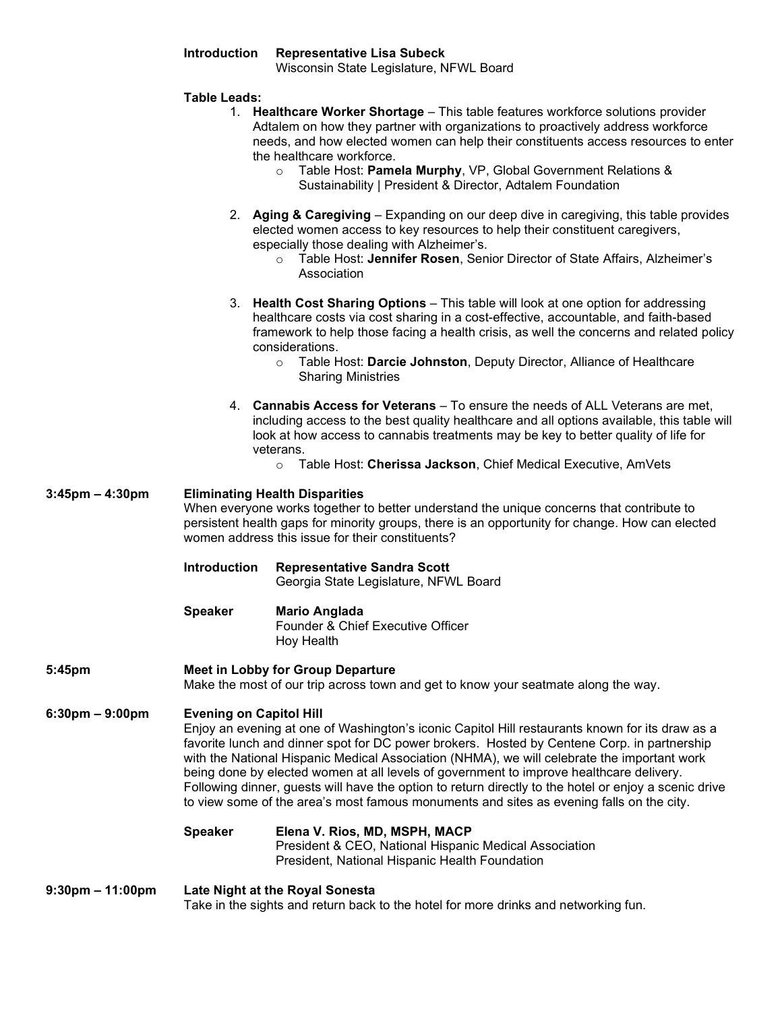| <b>Introduction</b> | <b>Representative Lisa Subeck</b>       |  |
|---------------------|-----------------------------------------|--|
|                     | Wisconsin State Legislature, NFWL Board |  |

#### Table Leads:

- 1. Healthcare Worker Shortage This table features workforce solutions provider Adtalem on how they partner with organizations to proactively address workforce needs, and how elected women can help their constituents access resources to enter the healthcare workforce.
	- o Table Host: Pamela Murphy, VP, Global Government Relations & Sustainability | President & Director, Adtalem Foundation
- 2. Aging & Caregiving Expanding on our deep dive in caregiving, this table provides elected women access to key resources to help their constituent caregivers, especially those dealing with Alzheimer's.
	- o Table Host: Jennifer Rosen, Senior Director of State Affairs, Alzheimer's Association
- 3. Health Cost Sharing Options This table will look at one option for addressing healthcare costs via cost sharing in a cost-effective, accountable, and faith-based framework to help those facing a health crisis, as well the concerns and related policy considerations.
	- o Table Host: Darcie Johnston, Deputy Director, Alliance of Healthcare Sharing Ministries
- 4. Cannabis Access for Veterans To ensure the needs of ALL Veterans are met, including access to the best quality healthcare and all options available, this table will look at how access to cannabis treatments may be key to better quality of life for veterans.
	- o Table Host: Cherissa Jackson, Chief Medical Executive, AmVets

#### 3:45pm – 4:30pm Eliminating Health Disparities

When everyone works together to better understand the unique concerns that contribute to persistent health gaps for minority groups, there is an opportunity for change. How can elected women address this issue for their constituents?

#### Introduction Representative Sandra Scott Georgia State Legislature, NFWL Board

## Speaker Mario Anglada

 Founder & Chief Executive Officer Hoy Health

#### 5:45pm Meet in Lobby for Group Departure

Make the most of our trip across town and get to know your seatmate along the way.

#### 6:30pm – 9:00pm Evening on Capitol Hill

Enjoy an evening at one of Washington's iconic Capitol Hill restaurants known for its draw as a favorite lunch and dinner spot for DC power brokers. Hosted by Centene Corp. in partnership with the National Hispanic Medical Association (NHMA), we will celebrate the important work being done by elected women at all levels of government to improve healthcare delivery. Following dinner, guests will have the option to return directly to the hotel or enjoy a scenic drive to view some of the area's most famous monuments and sites as evening falls on the city.

#### Speaker Elena V. Rios, MD, MSPH, MACP

President & CEO, National Hispanic Medical Association President, National Hispanic Health Foundation

#### 9:30pm – 11:00pm Late Night at the Royal Sonesta

Take in the sights and return back to the hotel for more drinks and networking fun.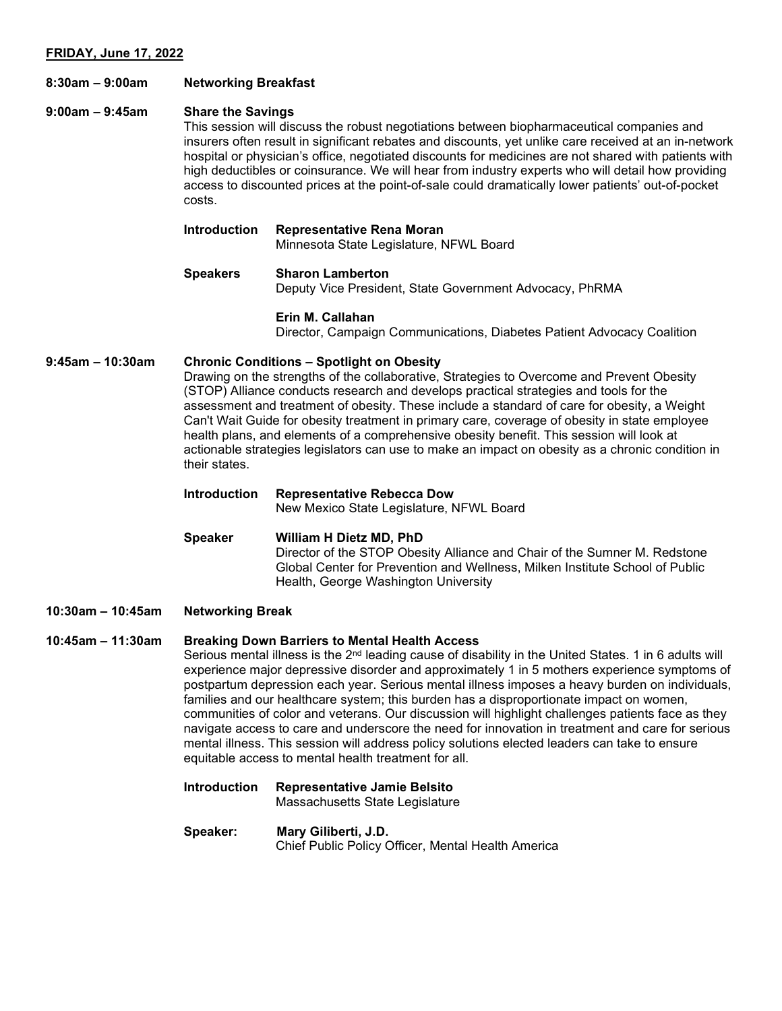#### 8:30am – 9:00am Networking Breakfast

#### 9:00am – 9:45am Share the Savings

This session will discuss the robust negotiations between biopharmaceutical companies and insurers often result in significant rebates and discounts, yet unlike care received at an in-network hospital or physician's office, negotiated discounts for medicines are not shared with patients with high deductibles or coinsurance. We will hear from industry experts who will detail how providing access to discounted prices at the point-of-sale could dramatically lower patients' out-of-pocket costs.

| <b>Introduction</b> | Representative Rena Moran<br>Minnesota State Legislature, NFWL Board               |
|---------------------|------------------------------------------------------------------------------------|
| <b>Speakers</b>     | <b>Sharon Lamberton</b><br>Deputy Vice President, State Government Advocacy, PhRMA |

#### Erin M. Callahan

Director, Campaign Communications, Diabetes Patient Advocacy Coalition

#### 9:45am – 10:30am Chronic Conditions – Spotlight on Obesity

Drawing on the strengths of the collaborative, Strategies to Overcome and Prevent Obesity (STOP) Alliance conducts research and develops practical strategies and tools for the assessment and treatment of obesity. These include a standard of care for obesity, a Weight Can't Wait Guide for obesity treatment in primary care, coverage of obesity in state employee health plans, and elements of a comprehensive obesity benefit. This session will look at actionable strategies legislators can use to make an impact on obesity as a chronic condition in their states.

## Introduction Representative Rebecca Dow

New Mexico State Legislature, NFWL Board

#### Speaker William H Dietz MD, PhD Director of the STOP Obesity Alliance and Chair of the Sumner M. Redstone Global Center for Prevention and Wellness, Milken Institute School of Public Health, George Washington University

#### 10:30am – 10:45am Networking Break

#### 10:45am – 11:30am Breaking Down Barriers to Mental Health Access

Serious mental illness is the  $2<sup>nd</sup>$  leading cause of disability in the United States. 1 in 6 adults will experience major depressive disorder and approximately 1 in 5 mothers experience symptoms of postpartum depression each year. Serious mental illness imposes a heavy burden on individuals, families and our healthcare system; this burden has a disproportionate impact on women, communities of color and veterans. Our discussion will highlight challenges patients face as they navigate access to care and underscore the need for innovation in treatment and care for serious mental illness. This session will address policy solutions elected leaders can take to ensure equitable access to mental health treatment for all.

Introduction Representative Jamie Belsito Massachusetts State Legislature

#### Speaker: Mary Giliberti, J.D. Chief Public Policy Officer, Mental Health America